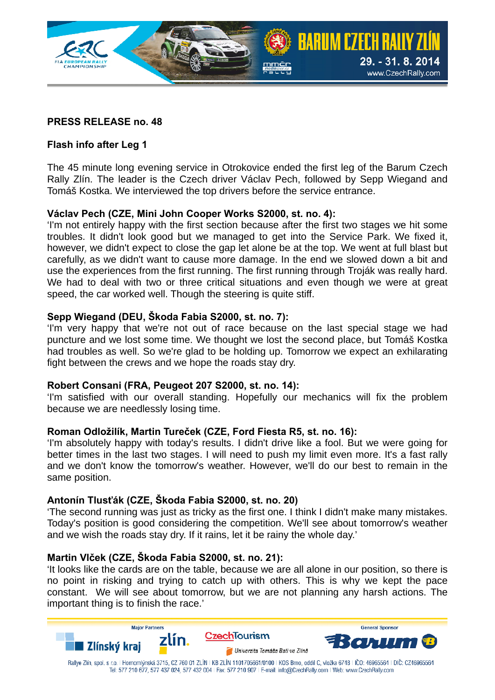

# **PRESS RELEASE no. 48**

## **Flash info after Leg 1**

The 45 minute long evening service in Otrokovice ended the first leg of the Barum Czech Rally Zlín. The leader is the Czech driver Václav Pech, followed by Sepp Wiegand and Tomáš Kostka. We interviewed the top drivers before the service entrance.

#### **Václav Pech (CZE, Mini John Cooper Works S2000, st. no. 4):**

'I'm not entirely happy with the first section because after the first two stages we hit some troubles. It didn't look good but we managed to get into the Service Park. We fixed it, however, we didn't expect to close the gap let alone be at the top. We went at full blast but carefully, as we didn't want to cause more damage. In the end we slowed down a bit and use the experiences from the first running. The first running through Troják was really hard. We had to deal with two or three critical situations and even though we were at great speed, the car worked well. Though the steering is quite stiff.

#### **Sepp Wiegand (DEU, Škoda Fabia S2000, st. no. 7):**

'I'm very happy that we're not out of race because on the last special stage we had puncture and we lost some time. We thought we lost the second place, but Tomáš Kostka had troubles as well. So we're glad to be holding up. Tomorrow we expect an exhilarating fight between the crews and we hope the roads stay dry.

#### **Robert Consani (FRA, Peugeot 207 S2000, st. no. 14):**

'I'm satisfied with our overall standing. Hopefully our mechanics will fix the problem because we are needlessly losing time.

#### **Roman Odložilík, Martin Tureček (CZE, Ford Fiesta R5, st. no. 16):**

'I'm absolutely happy with today's results. I didn't drive like a fool. But we were going for better times in the last two stages. I will need to push my limit even more. It's a fast rally and we don't know the tomorrow's weather. However, we'll do our best to remain in the same position.

#### **Antonín Tlusťák (CZE, Škoda Fabia S2000, st. no. 20)**

'The second running was just as tricky as the first one. I think I didn't make many mistakes. Today's position is good considering the competition. We'll see about tomorrow's weather and we wish the roads stay dry. If it rains, let it be rainy the whole day.'

#### **Martin Vlček (CZE, Škoda Fabia S2000, st. no. 21):**

'It looks like the cards are on the table, because we are all alone in our position, so there is no point in risking and trying to catch up with others. This is why we kept the pace constant. We will see about tomorrow, but we are not planning any harsh actions. The important thing is to finish the race.'